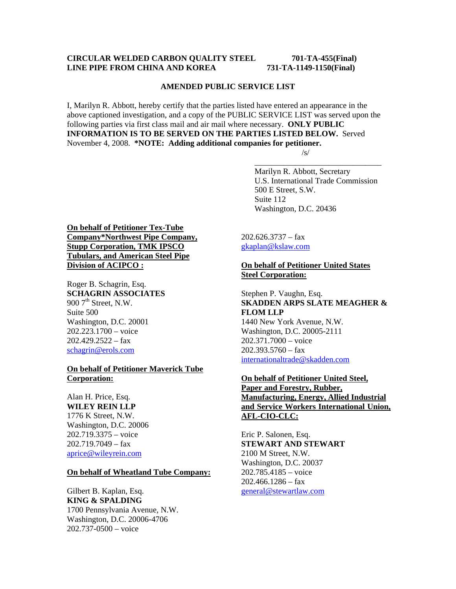## **CIRCULAR WELDED CARBON QUALITY STEEL 701-TA-455(Final) LINE PIPE FROM CHINA AND KOREA 731-TA-1149-1150(Final)**

#### **AMENDED PUBLIC SERVICE LIST**

I, Marilyn R. Abbott, hereby certify that the parties listed have entered an appearance in the above captioned investigation, and a copy of the PUBLIC SERVICE LIST was served upon the following parties via first class mail and air mail where necessary. **ONLY PUBLIC INFORMATION IS TO BE SERVED ON THE PARTIES LISTED BELOW.** Served November 4, 2008. **\*NOTE: Adding additional companies for petitioner.**   $\sqrt{s}$ /s/

 $\overline{\phantom{a}}$  , which is a set of the set of the set of the set of the set of the set of the set of the set of the set of the set of the set of the set of the set of the set of the set of the set of the set of the set of th

 Marilyn R. Abbott, Secretary U.S. International Trade Commission 500 E Street, S.W. Suite 112 Washington, D.C. 20436

# **On behalf of Petitioner Tex-Tube Company\*Northwest Pipe Company, Stupp Corporation, TMK IPSCO Tubulars, and American Steel Pipe Division of ACIPCO :**

Roger B. Schagrin, Esq. **SCHAGRIN ASSOCIATES**  900  $7<sup>th</sup>$  Street, N.W. Suite 500 Washington, D.C. 20001 202.223.1700 – voice  $202.429.2522 - fax$ schagrin@erols.com

### **On behalf of Petitioner Maverick Tube Corporation:**

Alan H. Price, Esq. **WILEY REIN LLP** 1776 K Street, N.W. Washington, D.C. 20006 202.719.3375 – voice  $202.719.7049 - fax$ aprice@wileyrein.com

### **On behalf of Wheatland Tube Company:**

Gilbert B. Kaplan, Esq. **KING & SPALDING** 1700 Pennsylvania Avenue, N.W. Washington, D.C. 20006-4706 202.737-0500 – voice

 $202.626.3737 - fax$ gkaplan@kslaw.com

# **On behalf of Petitioner United States Steel Corporation:**

Stephen P. Vaughn, Esq. **SKADDEN ARPS SLATE MEAGHER & FLOM LLP** 1440 New York Avenue, N.W. Washington, D.C. 20005-2111 202.371.7000 – voice  $202.393.5760 - f$ ax internationaltrade@skadden.com

**On behalf of Petitioner United Steel, Paper and Forestry, Rubber, Manufacturing, Energy, Allied Industrial and Service Workers International Union, AFL-CIO-CLC:**

Eric P. Salonen, Esq. **STEWART AND STEWART** 2100 M Street, N.W. Washington, D.C. 20037 202.785.4185 – voice  $202.466.1286 - fax$ general@stewartlaw.com